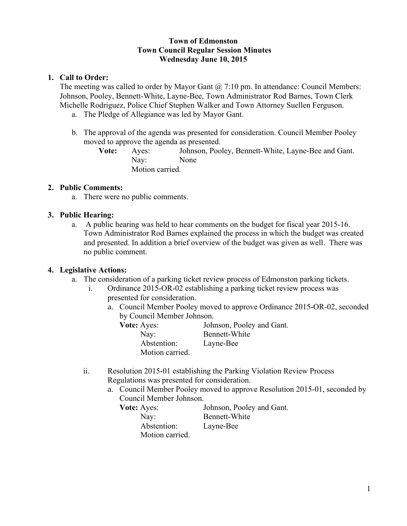### **Town of Edmonston Town Council Regular Session Minutes Wednesday June 10, 2015**

## **1. Call to Order:**

The meeting was called to order by Mayor Gant  $\omega$  7:10 pm. In attendance: Council Members: Johnson, Pooley, Bennett-White, Layne-Bee, Town Administrator Rod Barnes, Town Clerk Michelle Rodriguez, Police Chief Stephen Walker and Town Attorney Suellen Ferguson.

- a. The Pledge of Allegiance was led by Mayor Gant.
- b. The approval of the agenda was presented for consideration. Council Member Pooley moved to approve the agenda as presented.

**Vote:** Ayes: Johnson, Pooley, Bennett-White, Layne-Bee and Gant. Nay: None Motion carried.

## **2. Public Comments:**

a. There were no public comments.

# **3. Public Hearing:**

a. A public hearing was held to hear comments on the budget for fiscal year 2015-16. Town Administrator Rod Barnes explained the process in which the budget was created and presented. In addition a brief overview of the budget was given as well. There was no public comment.

### **4. Legislative Actions:**

- a. The consideration of a parking ticket review process of Edmonston parking tickets.
	- i. Ordinance 2015-OR-02 establishing a parking ticket review process was presented for consideration.
		- a. Council Member Pooley moved to approve Ordinance 2015-OR-02, seconded by Council Member Johnson.

| <b>Vote:</b> Ayes: | Johnson, Pooley and Gant. |
|--------------------|---------------------------|
| Nay:               | Bennett-White             |
| Abstention:        | Layne-Bee                 |
| Motion carried.    |                           |

- ii. Resolution 2015-01 establishing the Parking Violation Review Process Regulations was presented for consideration.
	- a. Council Member Pooley moved to approve Resolution 2015-01, seconded by Council Member Johnson.

**Vote:** Ayes: Johnson, Pooley and Gant. Nay: Bennett-White Abstention: Layne-Bee Motion carried.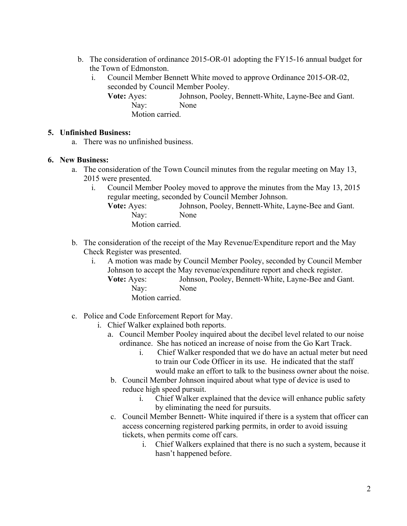- b. The consideration of ordinance 2015-OR-01 adopting the FY15-16 annual budget for the Town of Edmonston.
	- i. Council Member Bennett White moved to approve Ordinance 2015-OR-02, seconded by Council Member Pooley.
		- **Vote:** Ayes: Johnson, Pooley, Bennett-White, Layne-Bee and Gant. Nay: None Motion carried.

### **5. Unfinished Business:**

a. There was no unfinished business.

#### **6. New Business:**

- a. The consideration of the Town Council minutes from the regular meeting on May 13, 2015 were presented.
	- i. Council Member Pooley moved to approve the minutes from the May 13, 2015 regular meeting, seconded by Council Member Johnson.
		- **Vote:** Ayes: Johnson, Pooley, Bennett-White, Layne-Bee and Gant. Nay: None

Motion carried.

- b. The consideration of the receipt of the May Revenue/Expenditure report and the May Check Register was presented.
	- i. A motion was made by Council Member Pooley, seconded by Council Member Johnson to accept the May revenue/expenditure report and check register. **Vote:** Ayes: Johnson, Pooley, Bennett-White, Layne-Bee and Gant. Nay: None Motion carried.
- c. Police and Code Enforcement Report for May.
	- i. Chief Walker explained both reports.
		- a. Council Member Pooley inquired about the decibel level related to our noise ordinance. She has noticed an increase of noise from the Go Kart Track.
			- i. Chief Walker responded that we do have an actual meter but need to train our Code Officer in its use. He indicated that the staff would make an effort to talk to the business owner about the noise.
		- b. Council Member Johnson inquired about what type of device is used to reduce high speed pursuit.
			- i. Chief Walker explained that the device will enhance public safety by eliminating the need for pursuits.
		- c. Council Member Bennett- White inquired if there is a system that officer can access concerning registered parking permits, in order to avoid issuing tickets, when permits come off cars.
			- i. Chief Walkers explained that there is no such a system, because it hasn't happened before.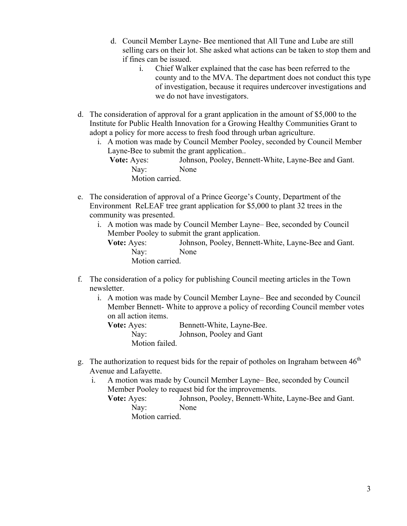- d. Council Member Layne- Bee mentioned that All Tune and Lube are still selling cars on their lot. She asked what actions can be taken to stop them and if fines can be issued.
	- i. Chief Walker explained that the case has been referred to the county and to the MVA. The department does not conduct this type of investigation, because it requires undercover investigations and we do not have investigators.
- d. The consideration of approval for a grant application in the amount of \$5,000 to the Institute for Public Health Innovation for a Growing Healthy Communities Grant to adopt a policy for more access to fresh food through urban agriculture.
	- i. A motion was made by Council Member Pooley, seconded by Council Member Layne-Bee to submit the grant application..
		- **Vote:** Ayes: Johnson, Pooley, Bennett-White, Layne-Bee and Gant. Nay: None Motion carried.
- e. The consideration of approval of a Prince George's County, Department of the Environment ReLEAF tree grant application for \$5,000 to plant 32 trees in the community was presented.
	- i. A motion was made by Council Member Layne– Bee, seconded by Council Member Pooley to submit the grant application. **Vote:** Ayes: Johnson, Pooley, Bennett-White, Layne-Bee and Gant. Nay: None Motion carried.
- f. The consideration of a policy for publishing Council meeting articles in the Town newsletter.
	- i. A motion was made by Council Member Layne– Bee and seconded by Council Member Bennett- White to approve a policy of recording Council member votes on all action items.
		- **Vote:** Ayes: Bennett-White, Layne-Bee. Nay: Johnson, Pooley and Gant Motion failed.
- g. The authorization to request bids for the repair of potholes on Ingraham between  $46<sup>th</sup>$ Avenue and Lafayette.
	- i. A motion was made by Council Member Layne– Bee, seconded by Council Member Pooley to request bid for the improvements.
		- **Vote:** Ayes: Johnson, Pooley, Bennett-White, Layne-Bee and Gant. Nay: None Motion carried.